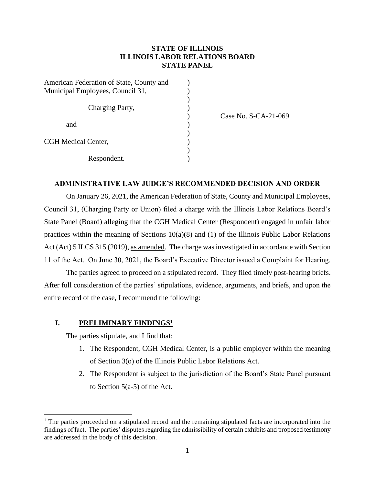## **STATE OF ILLINOIS ILLINOIS LABOR RELATIONS BOARD STATE PANEL**

| American Federation of State, County and |  |
|------------------------------------------|--|
| Municipal Employees, Council 31,         |  |
|                                          |  |
| Charging Party,                          |  |
|                                          |  |
| and                                      |  |
|                                          |  |
| CGH Medical Center,                      |  |
|                                          |  |
| Respondent.                              |  |

) Case No. S-CA-21-069

## **ADMINISTRATIVE LAW JUDGE'S RECOMMENDED DECISION AND ORDER**

On January 26, 2021, the American Federation of State, County and Municipal Employees, Council 31, (Charging Party or Union) filed a charge with the Illinois Labor Relations Board's State Panel (Board) alleging that the CGH Medical Center (Respondent) engaged in unfair labor practices within the meaning of Sections  $10(a)(8)$  and (1) of the Illinois Public Labor Relations Act (Act) 5 ILCS 315 (2019), as amended. The charge was investigated in accordance with Section 11 of the Act. On June 30, 2021, the Board's Executive Director issued a Complaint for Hearing.

The parties agreed to proceed on a stipulated record. They filed timely post-hearing briefs. After full consideration of the parties' stipulations, evidence, arguments, and briefs, and upon the entire record of the case, I recommend the following:

## **I. PRELIMINARY FINDINGS<sup>1</sup>**

The parties stipulate, and I find that:

- 1. The Respondent, CGH Medical Center, is a public employer within the meaning of Section 3(o) of the Illinois Public Labor Relations Act.
- 2. The Respondent is subject to the jurisdiction of the Board's State Panel pursuant to Section 5(a-5) of the Act.

<sup>&</sup>lt;sup>1</sup> The parties proceeded on a stipulated record and the remaining stipulated facts are incorporated into the findings of fact. The parties' disputes regarding the admissibility of certain exhibits and proposed testimony are addressed in the body of this decision.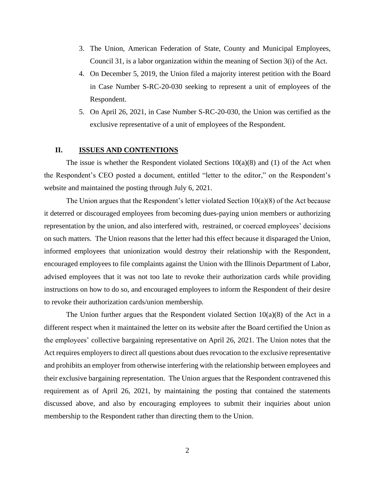- 3. The Union, American Federation of State, County and Municipal Employees, Council 31, is a labor organization within the meaning of Section 3(i) of the Act.
- 4. On December 5, 2019, the Union filed a majority interest petition with the Board in Case Number S-RC-20-030 seeking to represent a unit of employees of the Respondent.
- 5. On April 26, 2021, in Case Number S-RC-20-030, the Union was certified as the exclusive representative of a unit of employees of the Respondent.

## **II. ISSUES AND CONTENTIONS**

The issue is whether the Respondent violated Sections  $10(a)(8)$  and (1) of the Act when the Respondent's CEO posted a document, entitled "letter to the editor," on the Respondent's website and maintained the posting through July 6, 2021.

The Union argues that the Respondent's letter violated Section  $10(a)(8)$  of the Act because it deterred or discouraged employees from becoming dues-paying union members or authorizing representation by the union, and also interfered with, restrained, or coerced employees' decisions on such matters. The Union reasons that the letter had this effect because it disparaged the Union, informed employees that unionization would destroy their relationship with the Respondent, encouraged employees to file complaints against the Union with the Illinois Department of Labor, advised employees that it was not too late to revoke their authorization cards while providing instructions on how to do so, and encouraged employees to inform the Respondent of their desire to revoke their authorization cards/union membership.

The Union further argues that the Respondent violated Section  $10(a)(8)$  of the Act in a different respect when it maintained the letter on its website after the Board certified the Union as the employees' collective bargaining representative on April 26, 2021. The Union notes that the Act requires employers to direct all questions about dues revocation to the exclusive representative and prohibits an employer from otherwise interfering with the relationship between employees and their exclusive bargaining representation. The Union argues that the Respondent contravened this requirement as of April 26, 2021, by maintaining the posting that contained the statements discussed above, and also by encouraging employees to submit their inquiries about union membership to the Respondent rather than directing them to the Union.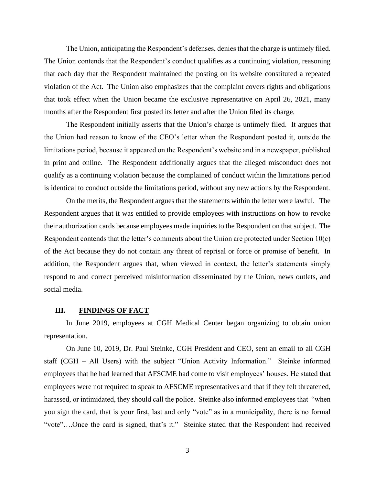The Union, anticipating the Respondent's defenses, denies that the charge is untimely filed. The Union contends that the Respondent's conduct qualifies as a continuing violation, reasoning that each day that the Respondent maintained the posting on its website constituted a repeated violation of the Act. The Union also emphasizes that the complaint covers rights and obligations that took effect when the Union became the exclusive representative on April 26, 2021, many months after the Respondent first posted its letter and after the Union filed its charge.

The Respondent initially asserts that the Union's charge is untimely filed. It argues that the Union had reason to know of the CEO's letter when the Respondent posted it, outside the limitations period, because it appeared on the Respondent's website and in a newspaper, published in print and online. The Respondent additionally argues that the alleged misconduct does not qualify as a continuing violation because the complained of conduct within the limitations period is identical to conduct outside the limitations period, without any new actions by the Respondent.

On the merits, the Respondent argues that the statements within the letter were lawful. The Respondent argues that it was entitled to provide employees with instructions on how to revoke their authorization cards because employees made inquiries to the Respondent on that subject. The Respondent contends that the letter's comments about the Union are protected under Section 10(c) of the Act because they do not contain any threat of reprisal or force or promise of benefit. In addition, the Respondent argues that, when viewed in context, the letter's statements simply respond to and correct perceived misinformation disseminated by the Union, news outlets, and social media.

#### **III. FINDINGS OF FACT**

In June 2019, employees at CGH Medical Center began organizing to obtain union representation.

On June 10, 2019, Dr. Paul Steinke, CGH President and CEO, sent an email to all CGH staff (CGH – All Users) with the subject "Union Activity Information." Steinke informed employees that he had learned that AFSCME had come to visit employees' houses. He stated that employees were not required to speak to AFSCME representatives and that if they felt threatened, harassed, or intimidated, they should call the police. Steinke also informed employees that "when you sign the card, that is your first, last and only "vote" as in a municipality, there is no formal "vote"….Once the card is signed, that's it." Steinke stated that the Respondent had received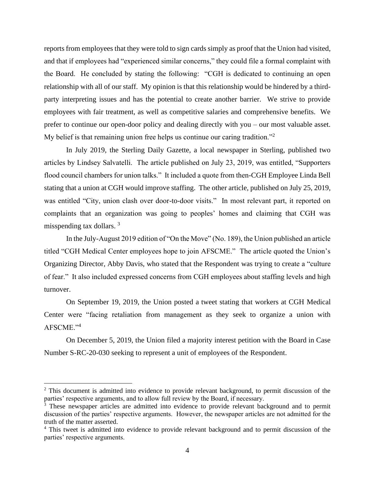reports from employees that they were told to sign cards simply as proof that the Union had visited, and that if employees had "experienced similar concerns," they could file a formal complaint with the Board. He concluded by stating the following: "CGH is dedicated to continuing an open relationship with all of our staff. My opinion is that this relationship would be hindered by a thirdparty interpreting issues and has the potential to create another barrier. We strive to provide employees with fair treatment, as well as competitive salaries and comprehensive benefits. We prefer to continue our open-door policy and dealing directly with you – our most valuable asset. My belief is that remaining union free helps us continue our caring tradition."<sup>2</sup>

In July 2019, the Sterling Daily Gazette, a local newspaper in Sterling, published two articles by Lindsey Salvatelli. The article published on July 23, 2019, was entitled, "Supporters flood council chambers for union talks." It included a quote from then-CGH Employee Linda Bell stating that a union at CGH would improve staffing. The other article, published on July 25, 2019, was entitled "City, union clash over door-to-door visits." In most relevant part, it reported on complaints that an organization was going to peoples' homes and claiming that CGH was misspending tax dollars. <sup>3</sup>

In the July-August 2019 edition of "On the Move" (No. 189), the Union published an article titled "CGH Medical Center employees hope to join AFSCME." The article quoted the Union's Organizing Director, Abby Davis, who stated that the Respondent was trying to create a "culture of fear." It also included expressed concerns from CGH employees about staffing levels and high turnover.

On September 19, 2019, the Union posted a tweet stating that workers at CGH Medical Center were "facing retaliation from management as they seek to organize a union with AFSCME."<sup>4</sup>

On December 5, 2019, the Union filed a majority interest petition with the Board in Case Number S-RC-20-030 seeking to represent a unit of employees of the Respondent.

<sup>&</sup>lt;sup>2</sup> This document is admitted into evidence to provide relevant background, to permit discussion of the parties' respective arguments, and to allow full review by the Board, if necessary.

<sup>&</sup>lt;sup>3</sup> These newspaper articles are admitted into evidence to provide relevant background and to permit discussion of the parties' respective arguments. However, the newspaper articles are not admitted for the truth of the matter asserted.

<sup>4</sup> This tweet is admitted into evidence to provide relevant background and to permit discussion of the parties' respective arguments.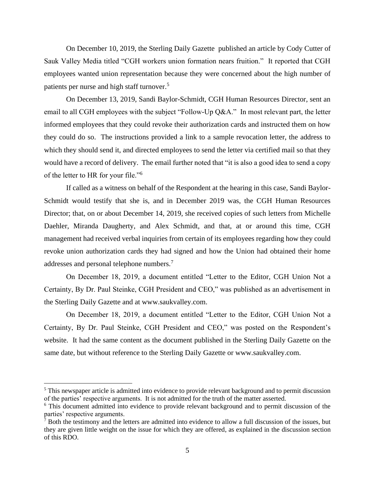On December 10, 2019, the Sterling Daily Gazette published an article by Cody Cutter of Sauk Valley Media titled "CGH workers union formation nears fruition." It reported that CGH employees wanted union representation because they were concerned about the high number of patients per nurse and high staff turnover.<sup>5</sup>

On December 13, 2019, Sandi Baylor-Schmidt, CGH Human Resources Director, sent an email to all CGH employees with the subject "Follow-Up Q&A." In most relevant part, the letter informed employees that they could revoke their authorization cards and instructed them on how they could do so. The instructions provided a link to a sample revocation letter, the address to which they should send it, and directed employees to send the letter via certified mail so that they would have a record of delivery. The email further noted that "it is also a good idea to send a copy of the letter to HR for your file."<sup>6</sup>

If called as a witness on behalf of the Respondent at the hearing in this case, Sandi Baylor-Schmidt would testify that she is, and in December 2019 was, the CGH Human Resources Director; that, on or about December 14, 2019, she received copies of such letters from Michelle Daehler, Miranda Daugherty, and Alex Schmidt, and that, at or around this time, CGH management had received verbal inquiries from certain of its employees regarding how they could revoke union authorization cards they had signed and how the Union had obtained their home addresses and personal telephone numbers.<sup>7</sup>

On December 18, 2019, a document entitled "Letter to the Editor, CGH Union Not a Certainty, By Dr. Paul Steinke, CGH President and CEO," was published as an advertisement in the Sterling Daily Gazette and at www.saukvalley.com.

On December 18, 2019, a document entitled "Letter to the Editor, CGH Union Not a Certainty, By Dr. Paul Steinke, CGH President and CEO," was posted on the Respondent's website. It had the same content as the document published in the Sterling Daily Gazette on the same date, but without reference to the Sterling Daily Gazette or www.saukvalley.com.

<sup>&</sup>lt;sup>5</sup> This newspaper article is admitted into evidence to provide relevant background and to permit discussion of the parties' respective arguments. It is not admitted for the truth of the matter asserted.

<sup>&</sup>lt;sup>6</sup> This document admitted into evidence to provide relevant background and to permit discussion of the parties' respective arguments.

 $\frac{7}{7}$  Both the testimony and the letters are admitted into evidence to allow a full discussion of the issues, but they are given little weight on the issue for which they are offered, as explained in the discussion section of this RDO.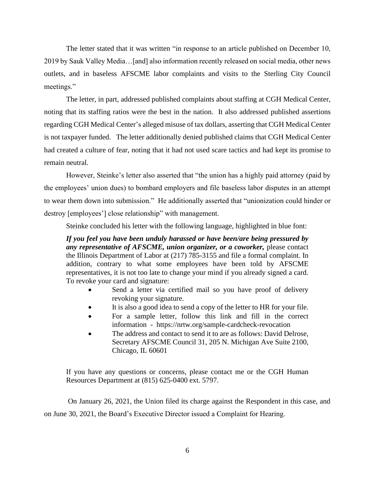The letter stated that it was written "in response to an article published on December 10, 2019 by Sauk Valley Media…[and] also information recently released on social media, other news outlets, and in baseless AFSCME labor complaints and visits to the Sterling City Council meetings."

The letter, in part, addressed published complaints about staffing at CGH Medical Center, noting that its staffing ratios were the best in the nation. It also addressed published assertions regarding CGH Medical Center's alleged misuse of tax dollars, asserting that CGH Medical Center is not taxpayer funded. The letter additionally denied published claims that CGH Medical Center had created a culture of fear, noting that it had not used scare tactics and had kept its promise to remain neutral.

However, Steinke's letter also asserted that "the union has a highly paid attorney (paid by the employees' union dues) to bombard employers and file baseless labor disputes in an attempt to wear them down into submission." He additionally asserted that "unionization could hinder or destroy [employees'] close relationship" with management.

Steinke concluded his letter with the following language, highlighted in blue font:

*If you feel you have been unduly harassed or have been/are being pressured by any representative of AFSCME, union organizer, or a coworker,* please contact the Illinois Department of Labor at (217) 785-3155 and file a formal complaint. In addition, contrary to what some employees have been told by AFSCME representatives, it is not too late to change your mind if you already signed a card. To revoke your card and signature:

- Send a letter via certified mail so you have proof of delivery revoking your signature.
- It is also a good idea to send a copy of the letter to HR for your file.
- For a sample letter, follow this link and fill in the correct information - https://nrtw.org/sample-cardcheck-revocation
- The address and contact to send it to are as follows: David Delrose, Secretary AFSCME Council 31, 205 N. Michigan Ave Suite 2100, Chicago, IL 60601

If you have any questions or concerns, please contact me or the CGH Human Resources Department at (815) 625-0400 ext. 5797.

On January 26, 2021, the Union filed its charge against the Respondent in this case, and on June 30, 2021, the Board's Executive Director issued a Complaint for Hearing.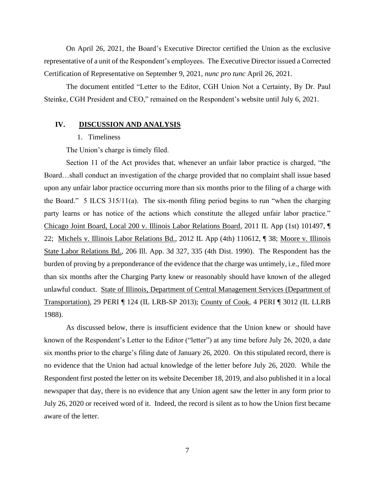On April 26, 2021, the Board's Executive Director certified the Union as the exclusive representative of a unit of the Respondent's employees. The Executive Director issued a Corrected Certification of Representative on September 9, 2021, *nunc pro tunc* April 26, 2021.

The document entitled "Letter to the Editor, CGH Union Not a Certainty, By Dr. Paul Steinke, CGH President and CEO," remained on the Respondent's website until July 6, 2021.

## **IV. DISCUSSION AND ANALYSIS**

#### 1. Timeliness

The Union's charge is timely filed.

Section 11 of the Act provides that, whenever an unfair labor practice is charged, "the Board…shall conduct an investigation of the charge provided that no complaint shall issue based upon any unfair labor practice occurring more than six months prior to the filing of a charge with the Board." 5 ILCS 315/11(a). The six-month filing period begins to run "when the charging party learns or has notice of the actions which constitute the alleged unfair labor practice." Chicago Joint Board, Local 200 v. Illinois Labor Relations Board, 2011 IL App (1st) 101497, ¶ 22; Michels v. Illinois Labor Relations Bd., 2012 IL App (4th) 110612, ¶ 38; Moore v. Illinois State Labor Relations Bd., 206 Ill. App. 3d 327, 335 (4th Dist. 1990). The Respondent has the burden of proving by a preponderance of the evidence that the charge was untimely, i.e., filed more than six months after the Charging Party knew or reasonably should have known of the alleged unlawful conduct. State of Illinois, Department of Central Management Services (Department of Transportation), 29 PERI ¶ 124 (IL LRB-SP 2013); County of Cook, 4 PERI ¶ 3012 (IL LLRB 1988).

As discussed below, there is insufficient evidence that the Union knew or should have known of the Respondent's Letter to the Editor ("letter") at any time before July 26, 2020, a date six months prior to the charge's filing date of January 26, 2020. On this stipulated record, there is no evidence that the Union had actual knowledge of the letter before July 26, 2020. While the Respondent first posted the letter on its website December 18, 2019, and also published it in a local newspaper that day, there is no evidence that any Union agent saw the letter in any form prior to July 26, 2020 or received word of it. Indeed, the record is silent as to how the Union first became aware of the letter.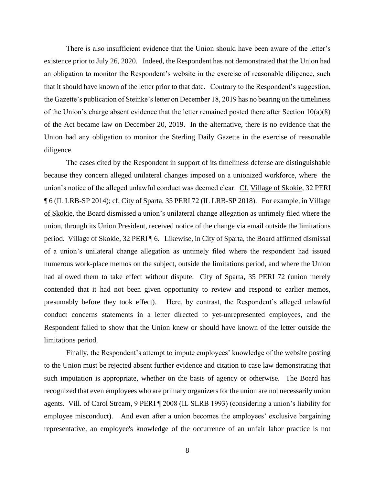There is also insufficient evidence that the Union should have been aware of the letter's existence prior to July 26, 2020. Indeed, the Respondent has not demonstrated that the Union had an obligation to monitor the Respondent's website in the exercise of reasonable diligence, such that it should have known of the letter prior to that date. Contrary to the Respondent's suggestion, the Gazette's publication of Steinke's letter on December 18, 2019 has no bearing on the timeliness of the Union's charge absent evidence that the letter remained posted there after Section  $10(a)(8)$ of the Act became law on December 20, 2019. In the alternative, there is no evidence that the Union had any obligation to monitor the Sterling Daily Gazette in the exercise of reasonable diligence.

The cases cited by the Respondent in support of its timeliness defense are distinguishable because they concern alleged unilateral changes imposed on a unionized workforce, where the union's notice of the alleged unlawful conduct was deemed clear. Cf. Village of Skokie, 32 PERI ¶ 6 (IL LRB-SP 2014); cf. City of Sparta, 35 PERI 72 (IL LRB-SP 2018). For example, in Village of Skokie, the Board dismissed a union's unilateral change allegation as untimely filed where the union, through its Union President, received notice of the change via email outside the limitations period. Village of Skokie, 32 PERI ¶ 6. Likewise, in City of Sparta, the Board affirmed dismissal of a union's unilateral change allegation as untimely filed where the respondent had issued numerous work-place memos on the subject, outside the limitations period, and where the Union had allowed them to take effect without dispute. City of Sparta, 35 PERI 72 (union merely contended that it had not been given opportunity to review and respond to earlier memos, presumably before they took effect). Here, by contrast, the Respondent's alleged unlawful conduct concerns statements in a letter directed to yet-unrepresented employees, and the Respondent failed to show that the Union knew or should have known of the letter outside the limitations period.

Finally, the Respondent's attempt to impute employees' knowledge of the website posting to the Union must be rejected absent further evidence and citation to case law demonstrating that such imputation is appropriate, whether on the basis of agency or otherwise. The Board has recognized that even employees who are primary organizers for the union are not necessarily union agents. Vill. of Carol Stream, 9 PERI ¶ 2008 (IL SLRB 1993) (considering a union's liability for employee misconduct). And even after a union becomes the employees' exclusive bargaining representative, an employee's knowledge of the occurrence of an unfair labor practice is not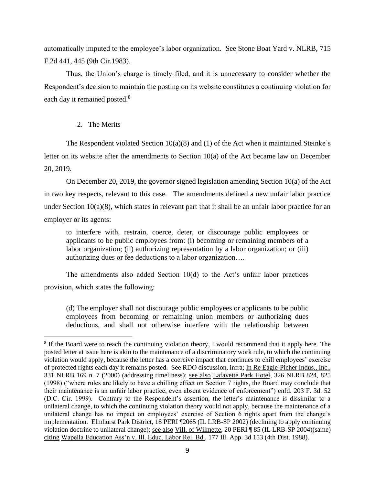automatically imputed to the employee's labor organization. See Stone Boat Yard v. NLRB, 715 F.2d 441, 445 (9th Cir.1983).

Thus, the Union's charge is timely filed, and it is unnecessary to consider whether the Respondent's decision to maintain the posting on its website constitutes a continuing violation for each day it remained posted.<sup>8</sup>

## 2. The Merits

The Respondent violated Section  $10(a)(8)$  and (1) of the Act when it maintained Steinke's letter on its website after the amendments to Section 10(a) of the Act became law on December 20, 2019.

On December 20, 2019, the governor signed legislation amending Section 10(a) of the Act in two key respects, relevant to this case. The amendments defined a new unfair labor practice under Section  $10(a)(8)$ , which states in relevant part that it shall be an unfair labor practice for an employer or its agents:

to interfere with, restrain, coerce, deter, or discourage public employees or applicants to be public employees from: (i) becoming or remaining members of a labor organization; (ii) authorizing representation by a labor organization; or (iii) authorizing dues or fee deductions to a labor organization….

The amendments also added Section 10(d) to the Act's unfair labor practices provision, which states the following:

(d) The employer shall not discourage public employees or applicants to be public employees from becoming or remaining union members or authorizing dues deductions, and shall not otherwise interfere with the relationship between

<sup>&</sup>lt;sup>8</sup> If the Board were to reach the continuing violation theory, I would recommend that it apply here. The posted letter at issue here is akin to the maintenance of a discriminatory work rule, to which the continuing violation would apply, because the letter has a coercive impact that continues to chill employees' exercise of protected rights each day it remains posted. See RDO discussion, infra; In Re Eagle-Picher Indus., Inc., 331 NLRB 169 n. 7 (2000) (addressing timeliness); see also Lafayette Park Hotel, 326 NLRB 824, 825 (1998) ("where rules are likely to have a chilling effect on Section 7 rights, the Board may conclude that their maintenance is an unfair labor practice, even absent evidence of enforcement") enfd. 203 F. 3d. 52 (D.C. Cir. 1999). Contrary to the Respondent's assertion, the letter's maintenance is dissimilar to a unilateral change, to which the continuing violation theory would not apply, because the maintenance of a unilateral change has no impact on employees' exercise of Section 6 rights apart from the change's implementation. Elmhurst Park District, 18 PERI ¶2065 (IL LRB-SP 2002) (declining to apply continuing violation doctrine to unilateral change); see also Vill. of Wilmette, 20 PERI ¶ 85 (IL LRB-SP 2004)(same) citing Wapella Education Ass'n v. Ill. Educ. Labor Rel. Bd., 177 Ill. App. 3d 153 (4th Dist. 1988).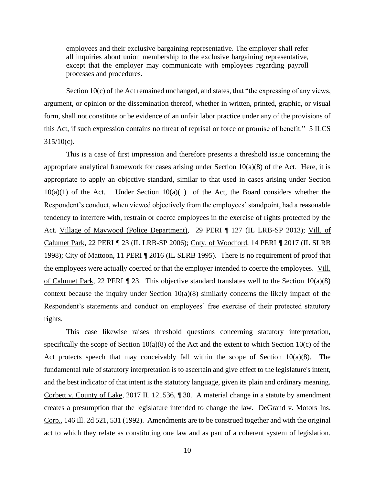employees and their exclusive bargaining representative. The employer shall refer all inquiries about union membership to the exclusive bargaining representative, except that the employer may communicate with employees regarding payroll processes and procedures.

Section 10(c) of the Act remained unchanged, and states, that "the expressing of any views, argument, or opinion or the dissemination thereof, whether in written, printed, graphic, or visual form, shall not constitute or be evidence of an unfair labor practice under any of the provisions of this Act, if such expression contains no threat of reprisal or force or promise of benefit." 5 ILCS 315/10(c).

This is a case of first impression and therefore presents a threshold issue concerning the appropriate analytical framework for cases arising under Section  $10(a)(8)$  of the Act. Here, it is appropriate to apply an objective standard, similar to that used in cases arising under Section  $10(a)(1)$  of the Act. Under Section  $10(a)(1)$  of the Act, the Board considers whether the Respondent's conduct, when viewed objectively from the employees' standpoint, had a reasonable tendency to interfere with, restrain or coerce employees in the exercise of rights protected by the Act. Village of Maywood (Police Department), 29 PERI ¶ 127 (IL LRB-SP 2013); Vill. of Calumet Park, 22 PERI *¶* 23 (IL LRB-SP 2006); Cnty. of Woodford, 14 PERI *¶* 2017 (IL SLRB 1998); City of Mattoon, 11 PERI ¶ 2016 (IL SLRB 1995). There is no requirement of proof that the employees were actually coerced or that the employer intended to coerce the employees. Vill. of Calumet Park, 22 PERI *¶* 23. This objective standard translates well to the Section 10(a)(8) context because the inquiry under Section  $10(a)(8)$  similarly concerns the likely impact of the Respondent's statements and conduct on employees' free exercise of their protected statutory rights.

This case likewise raises threshold questions concerning statutory interpretation, specifically the scope of Section  $10(a)(8)$  of the Act and the extent to which Section 10(c) of the Act protects speech that may conceivably fall within the scope of Section  $10(a)(8)$ . The fundamental rule of statutory interpretation is to ascertain and give effect to the legislature's intent, and the best indicator of that intent is the statutory language, given its plain and ordinary meaning. Corbett v. County of Lake, 2017 IL 121536, ¶ 30. A material change in a statute by amendment creates a presumption that the legislature intended to change the law. DeGrand v. Motors Ins. Corp., 146 Ill. 2d 521, 531 (1992). Amendments are to be construed together and with the original act to which they relate as constituting one law and as part of a coherent system of legislation.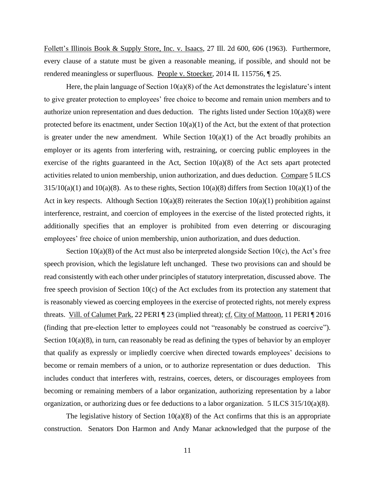Follett's Illinois Book & Supply Store, Inc. v. Isaacs, 27 Ill. 2d 600, 606 (1963). Furthermore, every clause of a statute must be given a reasonable meaning, if possible, and should not be rendered meaningless or superfluous. People v. Stoecker, 2014 IL 115756, ¶ 25.

Here, the plain language of Section  $10(a)(8)$  of the Act demonstrates the legislature's intent to give greater protection to employees' free choice to become and remain union members and to authorize union representation and dues deduction. The rights listed under Section  $10(a)(8)$  were protected before its enactment, under Section  $10(a)(1)$  of the Act, but the extent of that protection is greater under the new amendment. While Section  $10(a)(1)$  of the Act broadly prohibits an employer or its agents from interfering with, restraining, or coercing public employees in the exercise of the rights guaranteed in the Act, Section  $10(a)(8)$  of the Act sets apart protected activities related to union membership, union authorization, and dues deduction. Compare 5 ILCS  $315/10(a)(1)$  and  $10(a)(8)$ . As to these rights, Section  $10(a)(8)$  differs from Section  $10(a)(1)$  of the Act in key respects. Although Section 10(a)(8) reiterates the Section 10(a)(1) prohibition against interference, restraint, and coercion of employees in the exercise of the listed protected rights, it additionally specifies that an employer is prohibited from even deterring or discouraging employees' free choice of union membership, union authorization, and dues deduction.

Section  $10(a)(8)$  of the Act must also be interpreted alongside Section  $10(c)$ , the Act's free speech provision, which the legislature left unchanged. These two provisions can and should be read consistently with each other under principles of statutory interpretation, discussed above. The free speech provision of Section 10(c) of the Act excludes from its protection any statement that is reasonably viewed as coercing employees in the exercise of protected rights, not merely express threats. Vill. of Calumet Park, 22 PERI *¶* 23 (implied threat); cf. City of Mattoon, 11 PERI ¶ 2016 (finding that pre-election letter to employees could not "reasonably be construed as coercive"). Section 10(a)(8), in turn, can reasonably be read as defining the types of behavior by an employer that qualify as expressly or impliedly coercive when directed towards employees' decisions to become or remain members of a union, or to authorize representation or dues deduction. This includes conduct that interferes with, restrains, coerces, deters, or discourages employees from becoming or remaining members of a labor organization, authorizing representation by a labor organization, or authorizing dues or fee deductions to a labor organization. 5 ILCS 315/10(a)(8).

The legislative history of Section  $10(a)(8)$  of the Act confirms that this is an appropriate construction. Senators Don Harmon and Andy Manar acknowledged that the purpose of the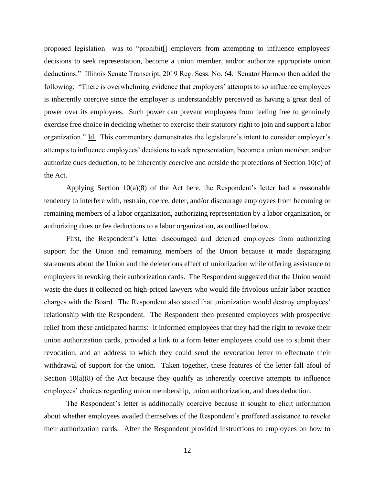proposed legislation was to "prohibit[] employers from attempting to influence employees' decisions to seek representation, become a union member, and/or authorize appropriate union deductions." Illinois Senate Transcript, 2019 Reg. Sess. No. 64. Senator Harmon then added the following: "There is overwhelming evidence that employers' attempts to so influence employees is inherently coercive since the employer is understandably perceived as having a great deal of power over its employees. Such power can prevent employees from feeling free to genuinely exercise free choice in deciding whether to exercise their statutory right to join and support a labor organization." Id. This commentary demonstrates the legislature's intent to consider employer's attempts to influence employees' decisions to seek representation, become a union member, and/or authorize dues deduction, to be inherently coercive and outside the protections of Section 10(c) of the Act.

Applying Section 10(a)(8) of the Act here, the Respondent's letter had a reasonable tendency to interfere with, restrain, coerce, deter, and/or discourage employees from becoming or remaining members of a labor organization, authorizing representation by a labor organization, or authorizing dues or fee deductions to a labor organization, as outlined below.

First, the Respondent's letter discouraged and deterred employees from authorizing support for the Union and remaining members of the Union because it made disparaging statements about the Union and the deleterious effect of unionization while offering assistance to employees in revoking their authorization cards. The Respondent suggested that the Union would waste the dues it collected on high-priced lawyers who would file frivolous unfair labor practice charges with the Board. The Respondent also stated that unionization would destroy employees' relationship with the Respondent. The Respondent then presented employees with prospective relief from these anticipated harms: It informed employees that they had the right to revoke their union authorization cards, provided a link to a form letter employees could use to submit their revocation, and an address to which they could send the revocation letter to effectuate their withdrawal of support for the union. Taken together, these features of the letter fall afoul of Section  $10(a)(8)$  of the Act because they qualify as inherently coercive attempts to influence employees' choices regarding union membership, union authorization, and dues deduction.

The Respondent's letter is additionally coercive because it sought to elicit information about whether employees availed themselves of the Respondent's proffered assistance to revoke their authorization cards. After the Respondent provided instructions to employees on how to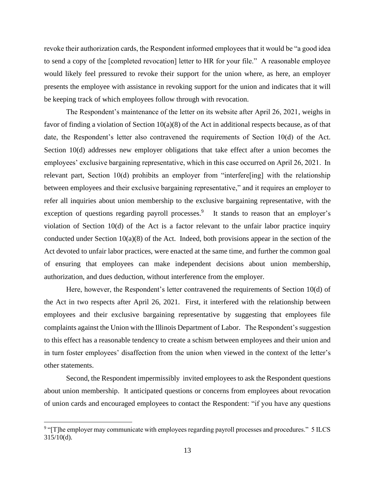revoke their authorization cards, the Respondent informed employees that it would be "a good idea to send a copy of the [completed revocation] letter to HR for your file." A reasonable employee would likely feel pressured to revoke their support for the union where, as here, an employer presents the employee with assistance in revoking support for the union and indicates that it will be keeping track of which employees follow through with revocation.

The Respondent's maintenance of the letter on its website after April 26, 2021, weighs in favor of finding a violation of Section 10(a)(8) of the Act in additional respects because, as of that date, the Respondent's letter also contravened the requirements of Section 10(d) of the Act. Section 10(d) addresses new employer obligations that take effect after a union becomes the employees' exclusive bargaining representative, which in this case occurred on April 26, 2021. In relevant part, Section 10(d) prohibits an employer from "interfere[ing] with the relationship between employees and their exclusive bargaining representative," and it requires an employer to refer all inquiries about union membership to the exclusive bargaining representative, with the exception of questions regarding payroll processes.<sup>9</sup> It stands to reason that an employer's violation of Section 10(d) of the Act is a factor relevant to the unfair labor practice inquiry conducted under Section  $10(a)(8)$  of the Act. Indeed, both provisions appear in the section of the Act devoted to unfair labor practices, were enacted at the same time, and further the common goal of ensuring that employees can make independent decisions about union membership, authorization, and dues deduction, without interference from the employer.

Here, however, the Respondent's letter contravened the requirements of Section 10(d) of the Act in two respects after April 26, 2021. First, it interfered with the relationship between employees and their exclusive bargaining representative by suggesting that employees file complaints against the Union with the Illinois Department of Labor. The Respondent's suggestion to this effect has a reasonable tendency to create a schism between employees and their union and in turn foster employees' disaffection from the union when viewed in the context of the letter's other statements.

Second, the Respondent impermissibly invited employees to ask the Respondent questions about union membership. It anticipated questions or concerns from employees about revocation of union cards and encouraged employees to contact the Respondent: "if you have any questions

<sup>&</sup>lt;sup>9</sup> "[T]he employer may communicate with employees regarding payroll processes and procedures." 5 ILCS 315/10(d).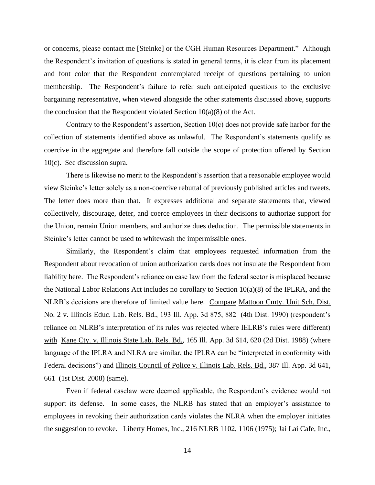or concerns, please contact me [Steinke] or the CGH Human Resources Department." Although the Respondent's invitation of questions is stated in general terms, it is clear from its placement and font color that the Respondent contemplated receipt of questions pertaining to union membership. The Respondent's failure to refer such anticipated questions to the exclusive bargaining representative, when viewed alongside the other statements discussed above, supports the conclusion that the Respondent violated Section  $10(a)(8)$  of the Act.

Contrary to the Respondent's assertion, Section  $10(c)$  does not provide safe harbor for the collection of statements identified above as unlawful. The Respondent's statements qualify as coercive in the aggregate and therefore fall outside the scope of protection offered by Section 10(c). See discussion supra.

There is likewise no merit to the Respondent's assertion that a reasonable employee would view Steinke's letter solely as a non-coercive rebuttal of previously published articles and tweets. The letter does more than that. It expresses additional and separate statements that, viewed collectively, discourage, deter, and coerce employees in their decisions to authorize support for the Union, remain Union members, and authorize dues deduction. The permissible statements in Steinke's letter cannot be used to whitewash the impermissible ones.

Similarly, the Respondent's claim that employees requested information from the Respondent about revocation of union authorization cards does not insulate the Respondent from liability here. The Respondent's reliance on case law from the federal sector is misplaced because the National Labor Relations Act includes no corollary to Section 10(a)(8) of the IPLRA, and the NLRB's decisions are therefore of limited value here. Compare Mattoon Cmty. Unit Sch. Dist. No. 2 v. Illinois Educ. Lab. Rels. Bd., 193 Ill. App. 3d 875, 882 (4th Dist. 1990) (respondent's reliance on NLRB's interpretation of its rules was rejected where IELRB's rules were different) with Kane Cty. v. Illinois State Lab. Rels. Bd., 165 Ill. App. 3d 614, 620 (2d Dist. 1988) (where language of the IPLRA and NLRA are similar, the IPLRA can be "interpreted in conformity with Federal decisions") and Illinois Council of Police v. Illinois Lab. Rels. Bd., 387 Ill. App. 3d 641, 661 (1st Dist. 2008) (same).

Even if federal caselaw were deemed applicable, the Respondent's evidence would not support its defense. In some cases, the NLRB has stated that an employer's assistance to employees in revoking their authorization cards violates the NLRA when the employer initiates the suggestion to revoke. Liberty Homes, Inc., 216 NLRB 1102, 1106 (1975); Jai Lai Cafe, Inc.,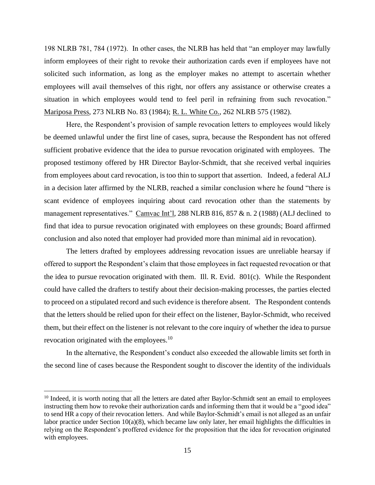198 NLRB 781, 784 (1972). In other cases, the NLRB has held that "an employer may lawfully inform employees of their right to revoke their authorization cards even if employees have not solicited such information, as long as the employer makes no attempt to ascertain whether employees will avail themselves of this right, nor offers any assistance or otherwise creates a situation in which employees would tend to feel peril in refraining from such revocation." Mariposa Press, 273 NLRB No. 83 (1984); R. L. White Co., 262 NLRB 575 (1982).

Here, the Respondent's provision of sample revocation letters to employees would likely be deemed unlawful under the first line of cases, supra, because the Respondent has not offered sufficient probative evidence that the idea to pursue revocation originated with employees. The proposed testimony offered by HR Director Baylor-Schmidt, that she received verbal inquiries from employees about card revocation, is too thin to support that assertion. Indeed, a federal ALJ in a decision later affirmed by the NLRB, reached a similar conclusion where he found "there is scant evidence of employees inquiring about card revocation other than the statements by management representatives." Camvac Int'l, 288 NLRB 816, 857 & n. 2 (1988) (ALJ declined to find that idea to pursue revocation originated with employees on these grounds; Board affirmed conclusion and also noted that employer had provided more than minimal aid in revocation).

The letters drafted by employees addressing revocation issues are unreliable hearsay if offered to support the Respondent's claim that those employees in fact requested revocation or that the idea to pursue revocation originated with them. Ill. R. Evid. 801(c). While the Respondent could have called the drafters to testify about their decision-making processes, the parties elected to proceed on a stipulated record and such evidence is therefore absent. The Respondent contends that the letters should be relied upon for their effect on the listener, Baylor-Schmidt, who received them, but their effect on the listener is not relevant to the core inquiry of whether the idea to pursue revocation originated with the employees.<sup>10</sup>

In the alternative, the Respondent's conduct also exceeded the allowable limits set forth in the second line of cases because the Respondent sought to discover the identity of the individuals

<sup>&</sup>lt;sup>10</sup> Indeed, it is worth noting that all the letters are dated after Baylor-Schmidt sent an email to employees instructing them how to revoke their authorization cards and informing them that it would be a "good idea" to send HR a copy of their revocation letters. And while Baylor-Schmidt's email is not alleged as an unfair labor practice under Section 10(a)(8), which became law only later, her email highlights the difficulties in relying on the Respondent's proffered evidence for the proposition that the idea for revocation originated with employees.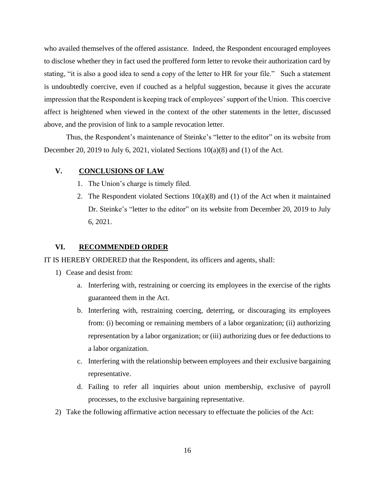who availed themselves of the offered assistance. Indeed, the Respondent encouraged employees to disclose whether they in fact used the proffered form letter to revoke their authorization card by stating, "it is also a good idea to send a copy of the letter to HR for your file." Such a statement is undoubtedly coercive, even if couched as a helpful suggestion, because it gives the accurate impression that the Respondent is keeping track of employees' support of the Union. This coercive affect is heightened when viewed in the context of the other statements in the letter, discussed above, and the provision of link to a sample revocation letter.

Thus, the Respondent's maintenance of Steinke's "letter to the editor" on its website from December 20, 2019 to July 6, 2021, violated Sections 10(a)(8) and (1) of the Act.

## **V. CONCLUSIONS OF LAW**

- 1. The Union's charge is timely filed.
- 2. The Respondent violated Sections  $10(a)(8)$  and (1) of the Act when it maintained Dr. Steinke's "letter to the editor" on its website from December 20, 2019 to July 6, 2021.

## **VI. RECOMMENDED ORDER**

IT IS HEREBY ORDERED that the Respondent, its officers and agents, shall:

- 1) Cease and desist from:
	- a. Interfering with, restraining or coercing its employees in the exercise of the rights guaranteed them in the Act.
	- b. Interfering with, restraining coercing, deterring, or discouraging its employees from: (i) becoming or remaining members of a labor organization; (ii) authorizing representation by a labor organization; or (iii) authorizing dues or fee deductions to a labor organization.
	- c. Interfering with the relationship between employees and their exclusive bargaining representative.
	- d. Failing to refer all inquiries about union membership, exclusive of payroll processes, to the exclusive bargaining representative.
- 2) Take the following affirmative action necessary to effectuate the policies of the Act: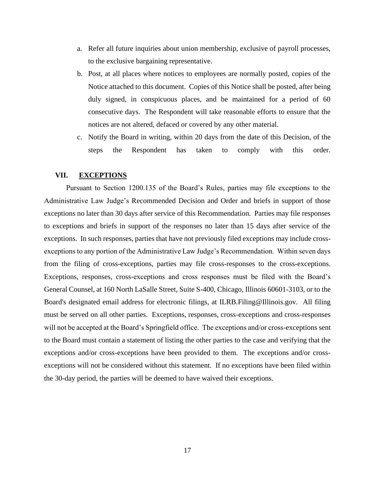- a. Refer all future inquiries about union membership, exclusive of payroll processes, to the exclusive bargaining representative.
- b. Post, at all places where notices to employees are normally posted, copies of the Notice attached to this document. Copies of this Notice shall be posted, after being duly signed, in conspicuous places, and be maintained for a period of 60 consecutive days. The Respondent will take reasonable efforts to ensure that the notices are not altered, defaced or covered by any other material.
- c. Notify the Board in writing, within 20 days from the date of this Decision, of the steps the Respondent has taken to comply with this order.

### **VII. EXCEPTIONS**

Pursuant to Section 1200.135 of the Board's Rules, parties may file exceptions to the Administrative Law Judge's Recommended Decision and Order and briefs in support of those exceptions no later than 30 days after service of this Recommendation. Parties may file responses to exceptions and briefs in support of the responses no later than 15 days after service of the exceptions. In such responses, parties that have not previously filed exceptions may include crossexceptions to any portion of the Administrative Law Judge's Recommendation. Within seven days from the filing of cross-exceptions, parties may file cross-responses to the cross-exceptions. Exceptions, responses, cross-exceptions and cross responses must be filed with the Board's General Counsel, at 160 North LaSalle Street, Suite S-400, Chicago, Illinois 60601-3103, or to the Board's designated email address for electronic filings, at ILRB.Filing@Illinois.gov. All filing must be served on all other parties. Exceptions, responses, cross-exceptions and cross-responses will not be accepted at the Board's Springfield office. The exceptions and/or cross-exceptions sent to the Board must contain a statement of listing the other parties to the case and verifying that the exceptions and/or cross-exceptions have been provided to them. The exceptions and/or crossexceptions will not be considered without this statement. If no exceptions have been filed within the 30-day period, the parties will be deemed to have waived their exceptions.